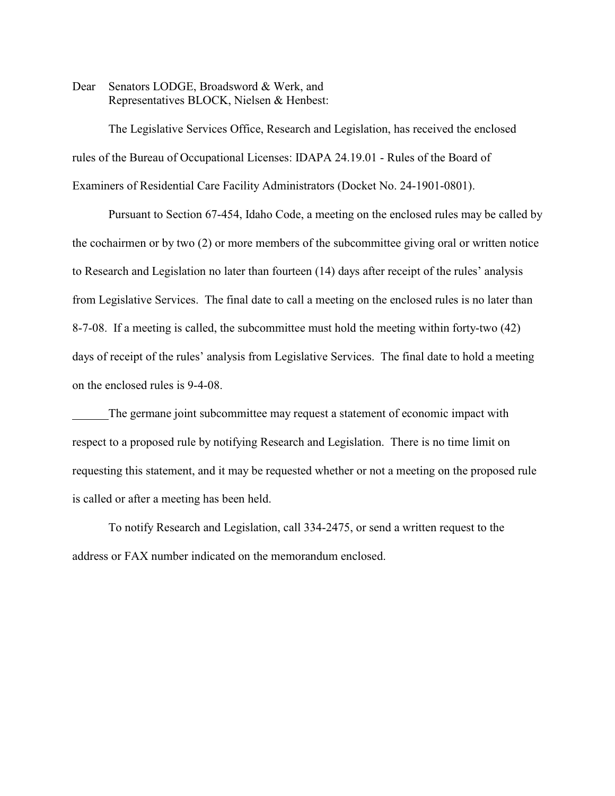Dear Senators LODGE, Broadsword & Werk, and Representatives BLOCK, Nielsen & Henbest:

The Legislative Services Office, Research and Legislation, has received the enclosed rules of the Bureau of Occupational Licenses: IDAPA 24.19.01 - Rules of the Board of Examiners of Residential Care Facility Administrators (Docket No. 24-1901-0801).

Pursuant to Section 67-454, Idaho Code, a meeting on the enclosed rules may be called by the cochairmen or by two (2) or more members of the subcommittee giving oral or written notice to Research and Legislation no later than fourteen (14) days after receipt of the rules' analysis from Legislative Services. The final date to call a meeting on the enclosed rules is no later than 8-7-08. If a meeting is called, the subcommittee must hold the meeting within forty-two (42) days of receipt of the rules' analysis from Legislative Services. The final date to hold a meeting on the enclosed rules is 9-4-08.

The germane joint subcommittee may request a statement of economic impact with respect to a proposed rule by notifying Research and Legislation. There is no time limit on requesting this statement, and it may be requested whether or not a meeting on the proposed rule is called or after a meeting has been held.

To notify Research and Legislation, call 334-2475, or send a written request to the address or FAX number indicated on the memorandum enclosed.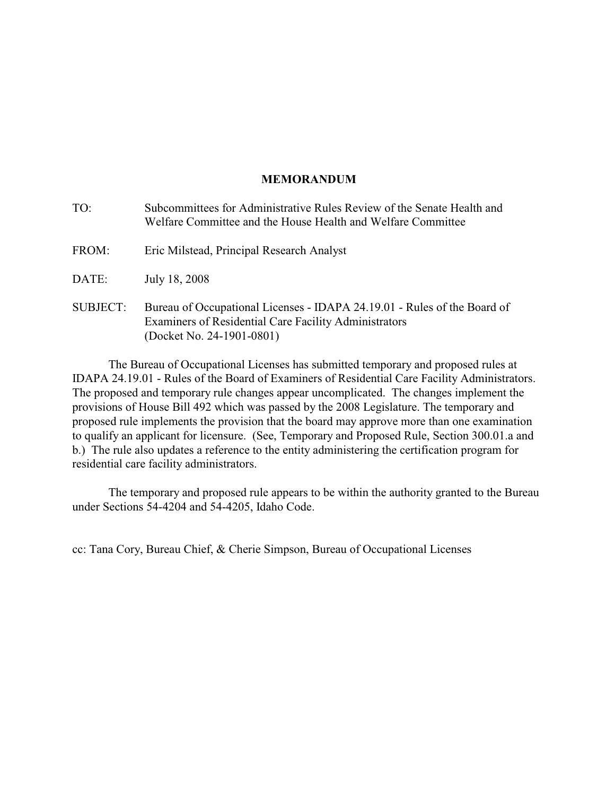# **MEMORANDUM**

| TO:             | Subcommittees for Administrative Rules Review of the Senate Health and<br>Welfare Committee and the House Health and Welfare Committee                         |
|-----------------|----------------------------------------------------------------------------------------------------------------------------------------------------------------|
| FROM:           | Eric Milstead, Principal Research Analyst                                                                                                                      |
| DATE:           | July 18, 2008                                                                                                                                                  |
| <b>SUBJECT:</b> | Bureau of Occupational Licenses - IDAPA 24.19.01 - Rules of the Board of<br>Examiners of Residential Care Facility Administrators<br>(Docket No. 24-1901-0801) |

The Bureau of Occupational Licenses has submitted temporary and proposed rules at IDAPA 24.19.01 - Rules of the Board of Examiners of Residential Care Facility Administrators. The proposed and temporary rule changes appear uncomplicated. The changes implement the provisions of House Bill 492 which was passed by the 2008 Legislature. The temporary and proposed rule implements the provision that the board may approve more than one examination to qualify an applicant for licensure. (See, Temporary and Proposed Rule, Section 300.01.a and b.) The rule also updates a reference to the entity administering the certification program for residential care facility administrators.

The temporary and proposed rule appears to be within the authority granted to the Bureau under Sections 54-4204 and 54-4205, Idaho Code.

cc: Tana Cory, Bureau Chief, & Cherie Simpson, Bureau of Occupational Licenses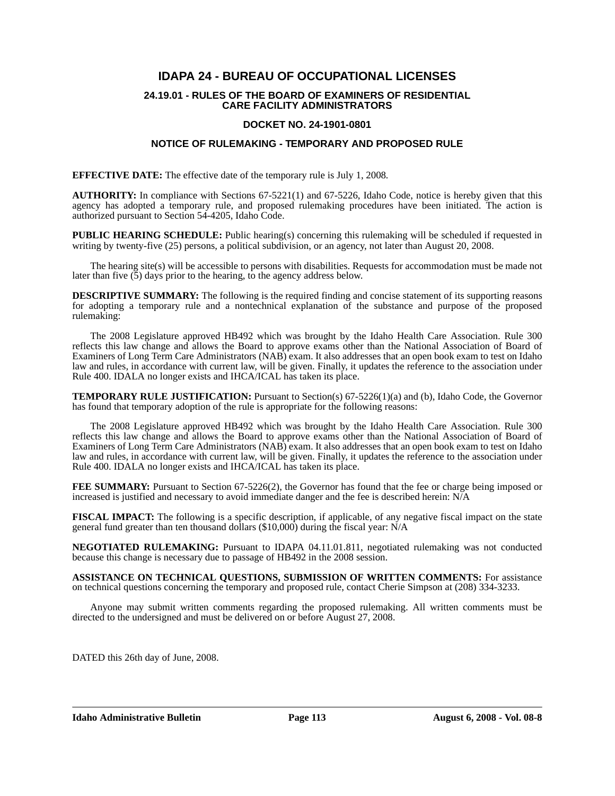# **IDAPA 24 - BUREAU OF OCCUPATIONAL LICENSES**

#### **24.19.01 - RULES OF THE BOARD OF EXAMINERS OF RESIDENTIAL CARE FACILITY ADMINISTRATORS**

# **DOCKET NO. 24-1901-0801**

# **NOTICE OF RULEMAKING - TEMPORARY AND PROPOSED RULE**

**EFFECTIVE DATE:** The effective date of the temporary rule is July 1, 2008*.*

**AUTHORITY:** In compliance with Sections 67-5221(1) and 67-5226, Idaho Code, notice is hereby given that this agency has adopted a temporary rule, and proposed rulemaking procedures have been initiated. The action is authorized pursuant to Section 54-4205, Idaho Code.

**PUBLIC HEARING SCHEDULE:** Public hearing(s) concerning this rulemaking will be scheduled if requested in writing by twenty-five (25) persons, a political subdivision, or an agency, not later than August 20, 2008.

The hearing site(s) will be accessible to persons with disabilities. Requests for accommodation must be made not later than five  $(5)$  days prior to the hearing, to the agency address below.

**DESCRIPTIVE SUMMARY:** The following is the required finding and concise statement of its supporting reasons for adopting a temporary rule and a nontechnical explanation of the substance and purpose of the proposed rulemaking:

The 2008 Legislature approved HB492 which was brought by the Idaho Health Care Association. Rule 300 reflects this law change and allows the Board to approve exams other than the National Association of Board of Examiners of Long Term Care Administrators (NAB) exam. It also addresses that an open book exam to test on Idaho law and rules, in accordance with current law, will be given. Finally, it updates the reference to the association under Rule 400. IDALA no longer exists and IHCA/ICAL has taken its place.

**TEMPORARY RULE JUSTIFICATION:** Pursuant to Section(s) 67-5226(1)(a) and (b), Idaho Code, the Governor has found that temporary adoption of the rule is appropriate for the following reasons:

The 2008 Legislature approved HB492 which was brought by the Idaho Health Care Association. Rule 300 reflects this law change and allows the Board to approve exams other than the National Association of Board of Examiners of Long Term Care Administrators (NAB) exam. It also addresses that an open book exam to test on Idaho law and rules, in accordance with current law, will be given. Finally, it updates the reference to the association under Rule 400. IDALA no longer exists and IHCA/ICAL has taken its place.

**FEE SUMMARY:** Pursuant to Section 67-5226(2), the Governor has found that the fee or charge being imposed or increased is justified and necessary to avoid immediate danger and the fee is described herein: N/A

**FISCAL IMPACT:** The following is a specific description, if applicable, of any negative fiscal impact on the state general fund greater than ten thousand dollars (\$10,000) during the fiscal year: N/A

**NEGOTIATED RULEMAKING:** Pursuant to IDAPA 04.11.01.811, negotiated rulemaking was not conducted because this change is necessary due to passage of HB492 in the 2008 session.

**ASSISTANCE ON TECHNICAL QUESTIONS, SUBMISSION OF WRITTEN COMMENTS:** For assistance on technical questions concerning the temporary and proposed rule, contact Cherie Simpson at (208) 334-3233.

Anyone may submit written comments regarding the proposed rulemaking. All written comments must be directed to the undersigned and must be delivered on or before August 27, 2008.

DATED this 26th day of June, 2008.